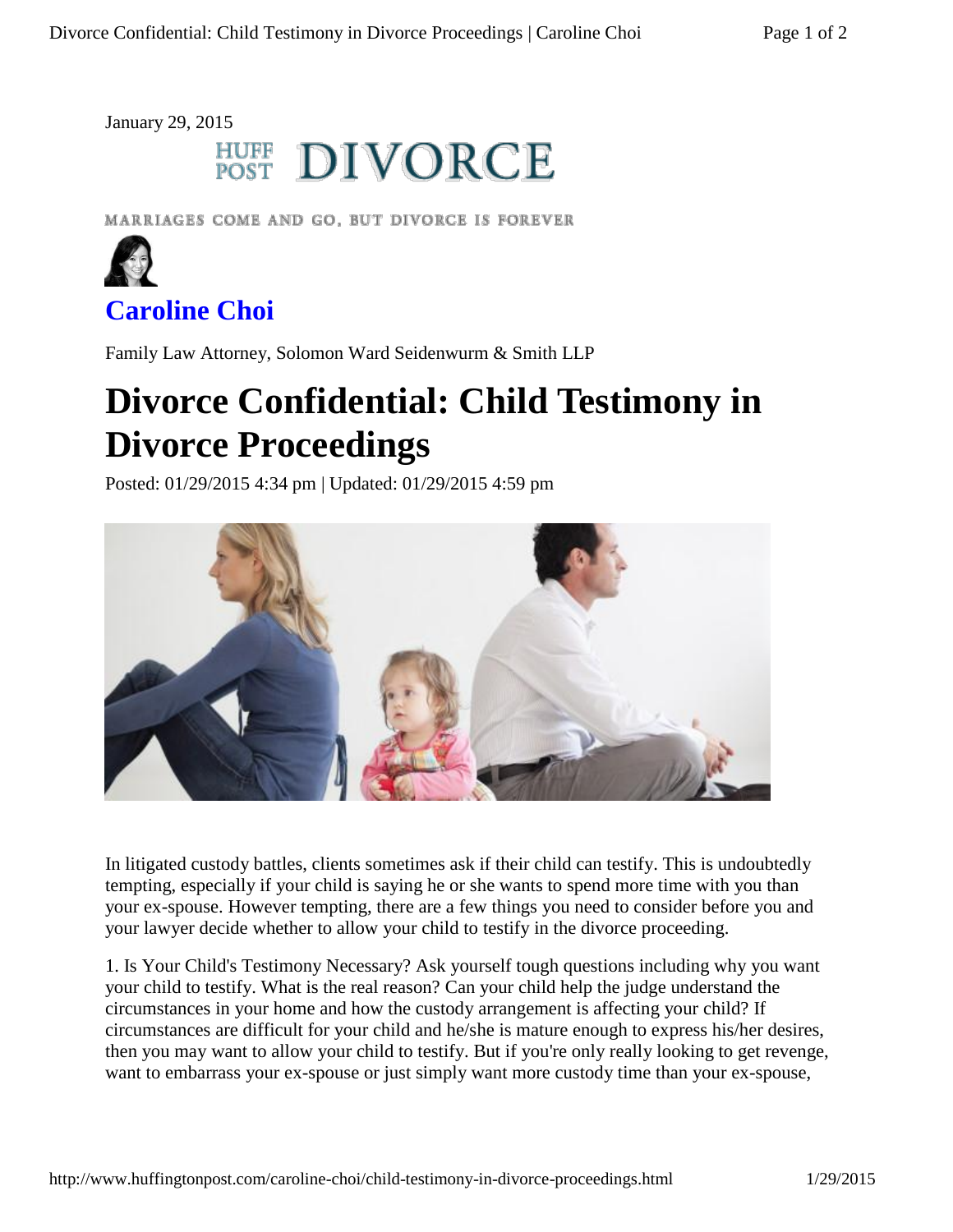January 29, 2015

## **HUFF DIVORCE**

MARRIAGES COME AND GO, BUT DIVORCE IS FOREVER



## **Caroline Choi**

Family Law Attorney, Solomon Ward Seidenwurm & Smith LLP

## **Divorce Confidential: Child Testimony in Divorce Proceedings**

Posted: 01/29/2015 4:34 pm | Updated: 01/29/2015 4:59 pm



In litigated custody battles, clients sometimes ask if their child can testify. This is undoubtedly tempting, especially if your child is saying he or she wants to spend more time with you than your ex-spouse. However tempting, there are a few things you need to consider before you and your lawyer decide whether to allow your child to testify in the divorce proceeding.

1. Is Your Child's Testimony Necessary? Ask yourself tough questions including why you want your child to testify. What is the real reason? Can your child help the judge understand the circumstances in your home and how the custody arrangement is affecting your child? If circumstances are difficult for your child and he/she is mature enough to express his/her desires, then you may want to allow your child to testify. But if you're only really looking to get revenge, want to embarrass your ex-spouse or just simply want more custody time than your ex-spouse,